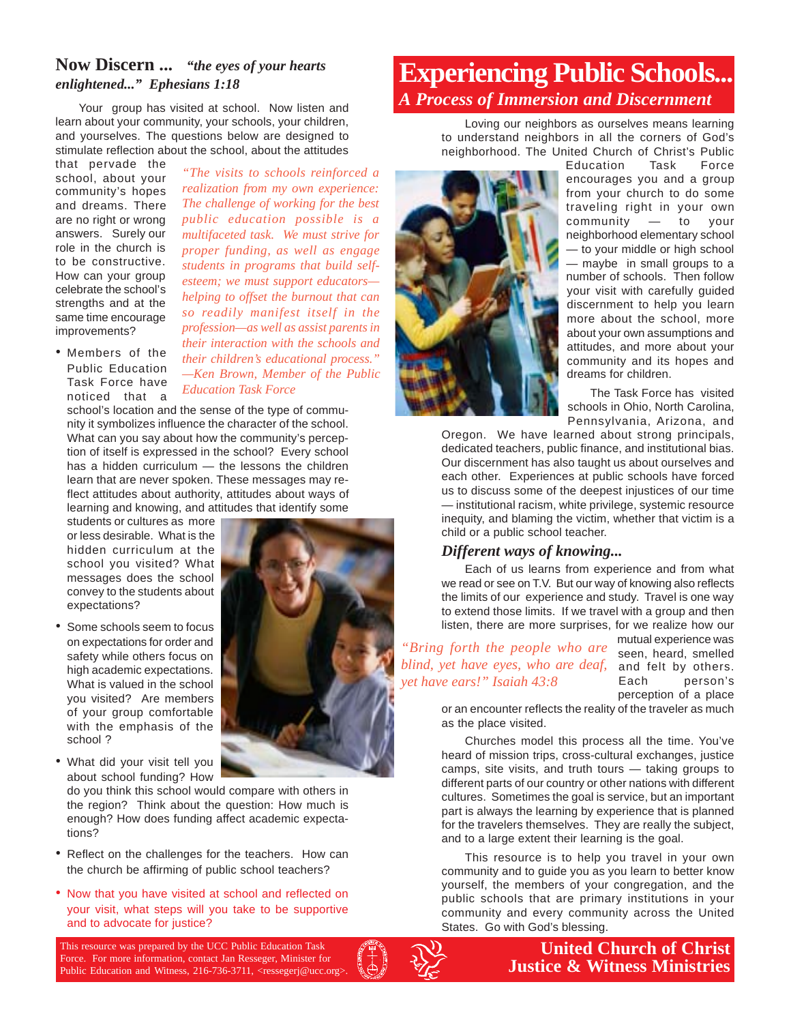#### **Now Discern ...** *"the eyes of your hearts enlightened..." Ephesians 1:18*

Your group has visited at school. Now listen and learn about your community, your schools, your children, and yourselves. The questions below are designed to stimulate reflection about the school, about the attitudes

that pervade the school, about your community's hopes and dreams. There are no right or wrong answers. Surely our role in the church is to be constructive. How can your group celebrate the school's strengths and at the same time encourage improvements?

*realization from my own experience: The challenge of working for the best public education possible is a multifaceted task. We must strive for proper funding, as well as engage students in programs that build selfesteem; we must support educators helping to offset the burnout that can so readily manifest itself in the profession—as well as assist parents in their interaction with the schools and their children's educational process." —Ken Brown, Member of the Public Education Task Force*

*"The visits to schools reinforced a*

• Members of the Public Education Task Force have noticed that a

school's location and the sense of the type of community it symbolizes influence the character of the school. What can you say about how the community's perception of itself is expressed in the school? Every school has a hidden curriculum — the lessons the children learn that are never spoken. These messages may reflect attitudes about authority, attitudes about ways of learning and knowing, and attitudes that identify some

students or cultures as more or less desirable. What is the hidden curriculum at the school you visited? What messages does the school convey to the students about expectations?

- Some schools seem to focus on expectations for order and safety while others focus on high academic expectations. What is valued in the school you visited? Are members of your group comfortable with the emphasis of the school ?
- What did your visit tell you about school funding? How

do you think this school would compare with others in the region? Think about the question: How much is enough? How does funding affect academic expectations?

- Reflect on the challenges for the teachers. How can the church be affirming of public school teachers?
- Now that you have visited at school and reflected on your visit, what steps will you take to be supportive and to advocate for justice?

This resource was prepared by the UCC Public Education Task Force. For more information, contact Jan Resseger, Minister for Public Education and Witness, 216-736-3711, <ressegerj@ucc.org>.



# **Experiencing Public Schools...** *A Process of Immersion and Discernment*

Loving our neighbors as ourselves means learning to understand neighbors in all the corners of God's neighborhood. The United Church of Christ's Public



Education Task Force encourages you and a group from your church to do some traveling right in your own community — to your neighborhood elementary school — to your middle or high school — maybe in small groups to a number of schools. Then follow your visit with carefully guided discernment to help you learn more about the school, more about your own assumptions and attitudes, and more about your community and its hopes and dreams for children.

The Task Force has visited schools in Ohio, North Carolina, Pennsylvania, Arizona, and

Oregon. We have learned about strong principals, dedicated teachers, public finance, and institutional bias. Our discernment has also taught us about ourselves and each other. Experiences at public schools have forced us to discuss some of the deepest injustices of our time — institutional racism, white privilege, systemic resource inequity, and blaming the victim, whether that victim is a child or a public school teacher.

#### *Different ways of knowing...*

Each of us learns from experience and from what we read or see on T.V. But our way of knowing also reflects the limits of our experience and study. Travel is one way to extend those limits. If we travel with a group and then listen, there are more surprises, for we realize how our

blind, yet have eyes, who are deaf, and felt by others. *"Bring forth the people who are yet have ears!" Isaiah 43:8*

mutual experience was seen, heard, smelled Each person's perception of a place

or an encounter reflects the reality of the traveler as much as the place visited.

Churches model this process all the time. You've heard of mission trips, cross-cultural exchanges, justice camps, site visits, and truth tours — taking groups to different parts of our country or other nations with different cultures. Sometimes the goal is service, but an important part is always the learning by experience that is planned for the travelers themselves. They are really the subject, and to a large extent their learning is the goal.

This resource is to help you travel in your own community and to guide you as you learn to better know yourself, the members of your congregation, and the public schools that are primary institutions in your community and every community across the United States. Go with God's blessing.